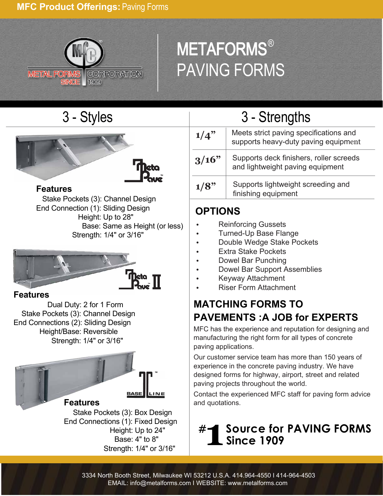### **MFC Product Offerings:** Paving Forms



# METAFORMS® PAVING FORMS



 Stake Pockets (3): Channel Design End Connection (1): Sliding Design Height: Up to 28" Base: Same as Height (or less) Strength: 1/4" or 3/16"



### **Features**

 Dual Duty: 2 for 1 Form Stake Pockets (3): Channel Design End Connections (2): Sliding Design Height/Base: Reversible Strength: 1/4" or 3/16"



 Stake Pockets (3): Box Design End Connections (1): Fixed Design Height: Up to 24" Base: 4" to 8" Strength: 1/4" or 3/16"

## 3 - Styles 3 - Strengths

| <b>Meto</b>                                                        | 1/4"  | Meets strict paving specifications and<br>supports heavy-duty paving equipment |
|--------------------------------------------------------------------|-------|--------------------------------------------------------------------------------|
|                                                                    | 3/16" | Supports deck finishers, roller screeds<br>and lightweight paving equipment    |
| <b>Touc</b><br><b>Features</b><br>Stake Dockets (2) Channel Docian | 1/8"  | Supports lightweight screeding and<br>finishing equipment                      |

### **OPTIONS**

- Reinforcing Gussets
- Turned-Up Base Flange
- Double Wedge Stake Pockets
- Extra Stake Pockets
- Dowel Bar Punching
- Dowel Bar Support Assemblies
- Keyway Attachment
- Riser Form Attachment

### **MATCHING FORMS TO PAVEMENTS :A JOB for EXPERTS**

MFC has the experience and reputation for designing and manufacturing the right form for all types of concrete paving applications.

Our customer service team has more than 150 years of experience in the concrete paving industry. We have designed forms for highway, airport, street and related paving projects throughout the world.

Contact the experienced MFC staff for paving form advice and quotations.

### **#1 S ource for PAVING FORMS Since 1909**

3334 North Booth Street, Milwaukee WI 53212 U.S.A. 414.964-4550 I 414-964-4503 EMAIL: info@metalforms.com I WEBSITE: www.metalforms.com